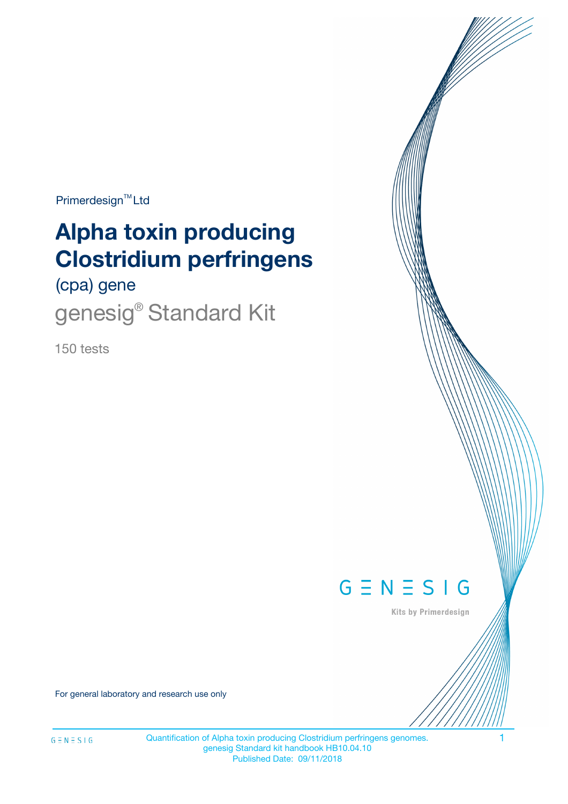Primerdesign<sup>™</sup>Ltd

# **Alpha toxin producing Clostridium perfringens**

(cpa) gene

genesig<sup>®</sup> Standard Kit

150 tests



Kits by Primerdesign

For general laboratory and research use only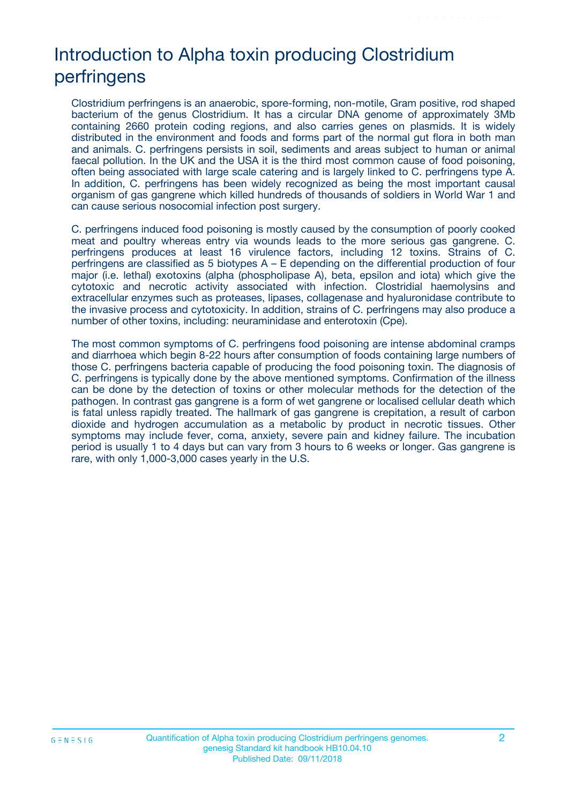# Introduction to Alpha toxin producing Clostridium perfringens

Clostridium perfringens is an anaerobic, spore-forming, non-motile, Gram positive, rod shaped bacterium of the genus Clostridium. It has a circular DNA genome of approximately 3Mb containing 2660 protein coding regions, and also carries genes on plasmids. It is widely distributed in the environment and foods and forms part of the normal gut flora in both man and animals. C. perfringens persists in soil, sediments and areas subject to human or animal faecal pollution. In the UK and the USA it is the third most common cause of food poisoning, often being associated with large scale catering and is largely linked to C. perfringens type A. In addition, C. perfringens has been widely recognized as being the most important causal organism of gas gangrene which killed hundreds of thousands of soldiers in World War 1 and can cause serious nosocomial infection post surgery.

C. perfringens induced food poisoning is mostly caused by the consumption of poorly cooked meat and poultry whereas entry via wounds leads to the more serious gas gangrene. C. perfringens produces at least 16 virulence factors, including 12 toxins. Strains of C. perfringens are classified as 5 biotypes A – E depending on the differential production of four major (i.e. lethal) exotoxins (alpha (phospholipase A), beta, epsilon and iota) which give the cytotoxic and necrotic activity associated with infection. Clostridial haemolysins and extracellular enzymes such as proteases, lipases, collagenase and hyaluronidase contribute to the invasive process and cytotoxicity. In addition, strains of C. perfringens may also produce a number of other toxins, including: neuraminidase and enterotoxin (Cpe).

The most common symptoms of C. perfringens food poisoning are intense abdominal cramps and diarrhoea which begin 8-22 hours after consumption of foods containing large numbers of those C. perfringens bacteria capable of producing the food poisoning toxin. The diagnosis of C. perfringens is typically done by the above mentioned symptoms. Confirmation of the illness can be done by the detection of toxins or other molecular methods for the detection of the pathogen. In contrast gas gangrene is a form of wet gangrene or localised cellular death which is fatal unless rapidly treated. The hallmark of gas gangrene is crepitation, a result of carbon dioxide and hydrogen accumulation as a metabolic by product in necrotic tissues. Other symptoms may include fever, coma, anxiety, severe pain and kidney failure. The incubation period is usually 1 to 4 days but can vary from 3 hours to 6 weeks or longer. Gas gangrene is rare, with only 1,000-3,000 cases yearly in the U.S.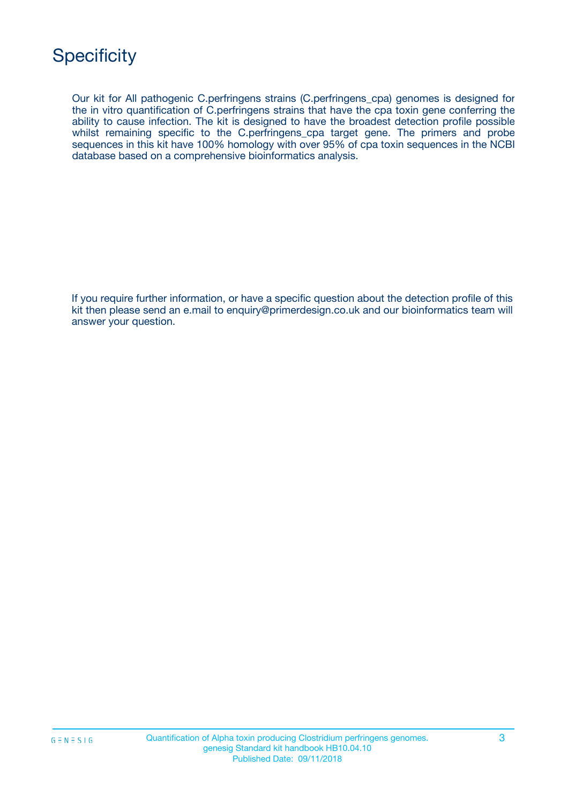Our kit for All pathogenic C.perfringens strains (C.perfringens\_cpa) genomes is designed for the in vitro quantification of C.perfringens strains that have the cpa toxin gene conferring the ability to cause infection. The kit is designed to have the broadest detection profile possible whilst remaining specific to the C.perfringens\_cpa target gene. The primers and probe sequences in this kit have 100% homology with over 95% of cpa toxin sequences in the NCBI database based on a comprehensive bioinformatics analysis.

If you require further information, or have a specific question about the detection profile of this kit then please send an e.mail to enquiry@primerdesign.co.uk and our bioinformatics team will answer your question.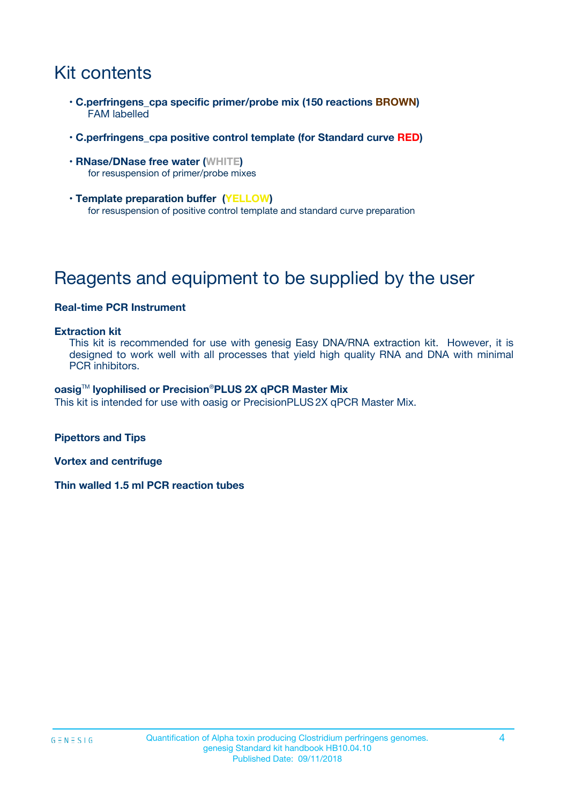# Kit contents

- **C.perfringens\_cpa specific primer/probe mix (150 reactions BROWN)** FAM labelled
- **C.perfringens\_cpa positive control template (for Standard curve RED)**
- **RNase/DNase free water (WHITE)** for resuspension of primer/probe mixes
- **Template preparation buffer (YELLOW)** for resuspension of positive control template and standard curve preparation

# Reagents and equipment to be supplied by the user

#### **Real-time PCR Instrument**

#### **Extraction kit**

This kit is recommended for use with genesig Easy DNA/RNA extraction kit. However, it is designed to work well with all processes that yield high quality RNA and DNA with minimal PCR inhibitors.

#### **oasig**TM **lyophilised or Precision**®**PLUS 2X qPCR Master Mix**

This kit is intended for use with oasig or PrecisionPLUS2X qPCR Master Mix.

**Pipettors and Tips**

**Vortex and centrifuge**

**Thin walled 1.5 ml PCR reaction tubes**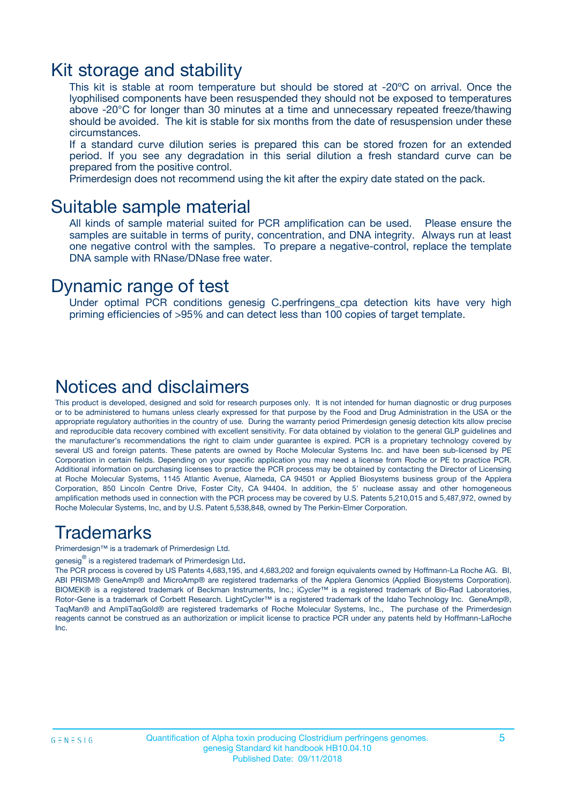### Kit storage and stability

This kit is stable at room temperature but should be stored at -20ºC on arrival. Once the lyophilised components have been resuspended they should not be exposed to temperatures above -20°C for longer than 30 minutes at a time and unnecessary repeated freeze/thawing should be avoided. The kit is stable for six months from the date of resuspension under these circumstances.

If a standard curve dilution series is prepared this can be stored frozen for an extended period. If you see any degradation in this serial dilution a fresh standard curve can be prepared from the positive control.

Primerdesign does not recommend using the kit after the expiry date stated on the pack.

### Suitable sample material

All kinds of sample material suited for PCR amplification can be used. Please ensure the samples are suitable in terms of purity, concentration, and DNA integrity. Always run at least one negative control with the samples. To prepare a negative-control, replace the template DNA sample with RNase/DNase free water.

### Dynamic range of test

Under optimal PCR conditions genesig C.perfringens\_cpa detection kits have very high priming efficiencies of >95% and can detect less than 100 copies of target template.

### Notices and disclaimers

This product is developed, designed and sold for research purposes only. It is not intended for human diagnostic or drug purposes or to be administered to humans unless clearly expressed for that purpose by the Food and Drug Administration in the USA or the appropriate regulatory authorities in the country of use. During the warranty period Primerdesign genesig detection kits allow precise and reproducible data recovery combined with excellent sensitivity. For data obtained by violation to the general GLP guidelines and the manufacturer's recommendations the right to claim under guarantee is expired. PCR is a proprietary technology covered by several US and foreign patents. These patents are owned by Roche Molecular Systems Inc. and have been sub-licensed by PE Corporation in certain fields. Depending on your specific application you may need a license from Roche or PE to practice PCR. Additional information on purchasing licenses to practice the PCR process may be obtained by contacting the Director of Licensing at Roche Molecular Systems, 1145 Atlantic Avenue, Alameda, CA 94501 or Applied Biosystems business group of the Applera Corporation, 850 Lincoln Centre Drive, Foster City, CA 94404. In addition, the 5' nuclease assay and other homogeneous amplification methods used in connection with the PCR process may be covered by U.S. Patents 5,210,015 and 5,487,972, owned by Roche Molecular Systems, Inc, and by U.S. Patent 5,538,848, owned by The Perkin-Elmer Corporation.

### Trademarks

Primerdesign™ is a trademark of Primerdesign Ltd.

genesig $^\circledR$  is a registered trademark of Primerdesign Ltd.

The PCR process is covered by US Patents 4,683,195, and 4,683,202 and foreign equivalents owned by Hoffmann-La Roche AG. BI, ABI PRISM® GeneAmp® and MicroAmp® are registered trademarks of the Applera Genomics (Applied Biosystems Corporation). BIOMEK® is a registered trademark of Beckman Instruments, Inc.; iCycler™ is a registered trademark of Bio-Rad Laboratories, Rotor-Gene is a trademark of Corbett Research. LightCycler™ is a registered trademark of the Idaho Technology Inc. GeneAmp®, TaqMan® and AmpliTaqGold® are registered trademarks of Roche Molecular Systems, Inc., The purchase of the Primerdesign reagents cannot be construed as an authorization or implicit license to practice PCR under any patents held by Hoffmann-LaRoche Inc.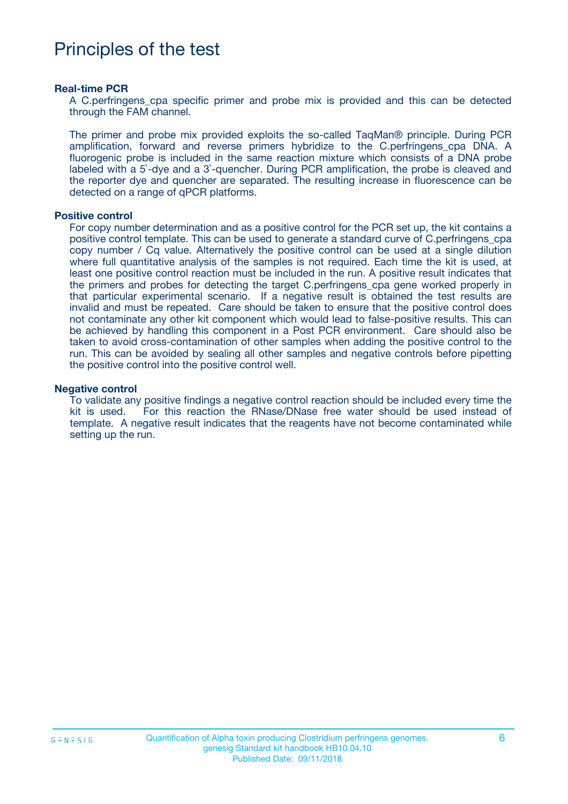## Principles of the test

#### **Real-time PCR**

A C.perfringens cpa specific primer and probe mix is provided and this can be detected through the FAM channel.

The primer and probe mix provided exploits the so-called TaqMan® principle. During PCR amplification, forward and reverse primers hybridize to the C.perfringens\_cpa DNA. A fluorogenic probe is included in the same reaction mixture which consists of a DNA probe labeled with a 5`-dye and a 3`-quencher. During PCR amplification, the probe is cleaved and the reporter dye and quencher are separated. The resulting increase in fluorescence can be detected on a range of qPCR platforms.

#### **Positive control**

For copy number determination and as a positive control for the PCR set up, the kit contains a positive control template. This can be used to generate a standard curve of C.perfringens\_cpa copy number / Cq value. Alternatively the positive control can be used at a single dilution where full quantitative analysis of the samples is not required. Each time the kit is used, at least one positive control reaction must be included in the run. A positive result indicates that the primers and probes for detecting the target C.perfringens\_cpa gene worked properly in that particular experimental scenario. If a negative result is obtained the test results are invalid and must be repeated. Care should be taken to ensure that the positive control does not contaminate any other kit component which would lead to false-positive results. This can be achieved by handling this component in a Post PCR environment. Care should also be taken to avoid cross-contamination of other samples when adding the positive control to the run. This can be avoided by sealing all other samples and negative controls before pipetting the positive control into the positive control well.

#### **Negative control**

To validate any positive findings a negative control reaction should be included every time the kit is used. For this reaction the RNase/DNase free water should be used instead of template. A negative result indicates that the reagents have not become contaminated while setting up the run.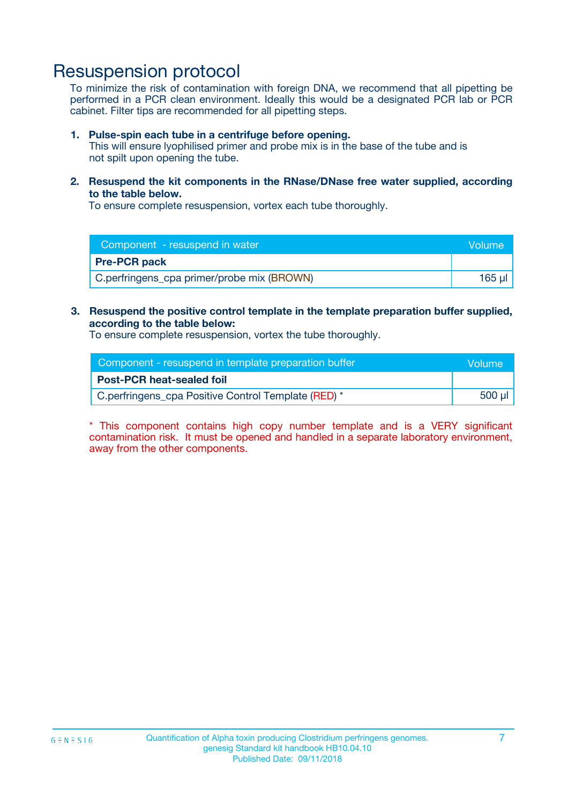## Resuspension protocol

To minimize the risk of contamination with foreign DNA, we recommend that all pipetting be performed in a PCR clean environment. Ideally this would be a designated PCR lab or PCR cabinet. Filter tips are recommended for all pipetting steps.

#### **1. Pulse-spin each tube in a centrifuge before opening.**

This will ensure lyophilised primer and probe mix is in the base of the tube and is not spilt upon opening the tube.

**2. Resuspend the kit components in the RNase/DNase free water supplied, according to the table below.**

To ensure complete resuspension, vortex each tube thoroughly.

| Component - resuspend in water             | Volume |
|--------------------------------------------|--------|
| <b>Pre-PCR pack</b>                        |        |
| C.perfringens_cpa primer/probe mix (BROWN) | 165 ul |

### **3. Resuspend the positive control template in the template preparation buffer supplied, according to the table below:**

To ensure complete resuspension, vortex the tube thoroughly.

| Component - resuspend in template preparation buffer | Wolume'  |
|------------------------------------------------------|----------|
| <b>Post-PCR heat-sealed foil</b>                     |          |
| C.perfringens_cpa Positive Control Template (RED) *  | $500$ µl |

\* This component contains high copy number template and is a VERY significant contamination risk. It must be opened and handled in a separate laboratory environment, away from the other components.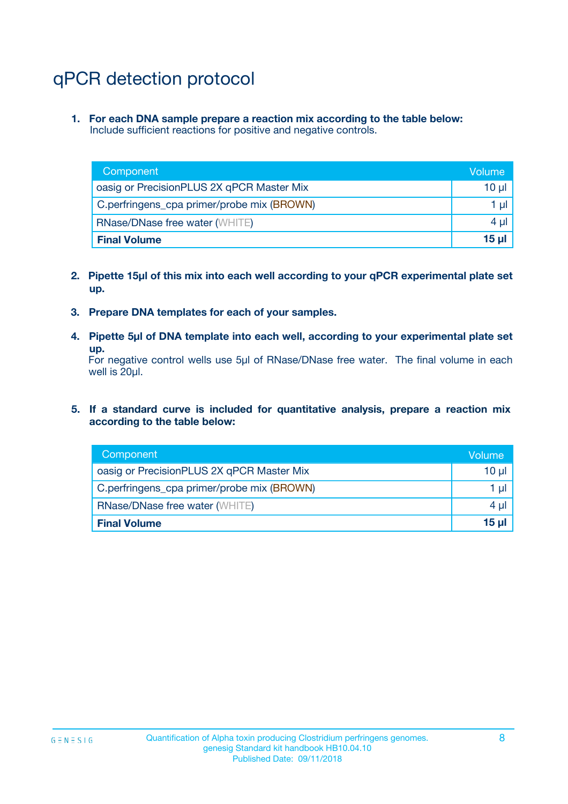# qPCR detection protocol

**1. For each DNA sample prepare a reaction mix according to the table below:** Include sufficient reactions for positive and negative controls.

| Component                                  | Volume   |
|--------------------------------------------|----------|
| oasig or PrecisionPLUS 2X qPCR Master Mix  | 10 $\mu$ |
| C.perfringens_cpa primer/probe mix (BROWN) | 1 $\mu$  |
| <b>RNase/DNase free water (WHITE)</b>      | $4 \mu$  |
| <b>Final Volume</b>                        | $15 \mu$ |

- **2. Pipette 15µl of this mix into each well according to your qPCR experimental plate set up.**
- **3. Prepare DNA templates for each of your samples.**
- **4. Pipette 5µl of DNA template into each well, according to your experimental plate set up.**

For negative control wells use 5µl of RNase/DNase free water. The final volume in each well is 20µl.

**5. If a standard curve is included for quantitative analysis, prepare a reaction mix according to the table below:**

| Component                                  | Volume     |
|--------------------------------------------|------------|
| oasig or PrecisionPLUS 2X qPCR Master Mix  | $10 \mu$   |
| C.perfringens_cpa primer/probe mix (BROWN) | 1 µI       |
| <b>RNase/DNase free water (WHITE)</b>      | $4 \mu$    |
| <b>Final Volume</b>                        | $15$ $\mu$ |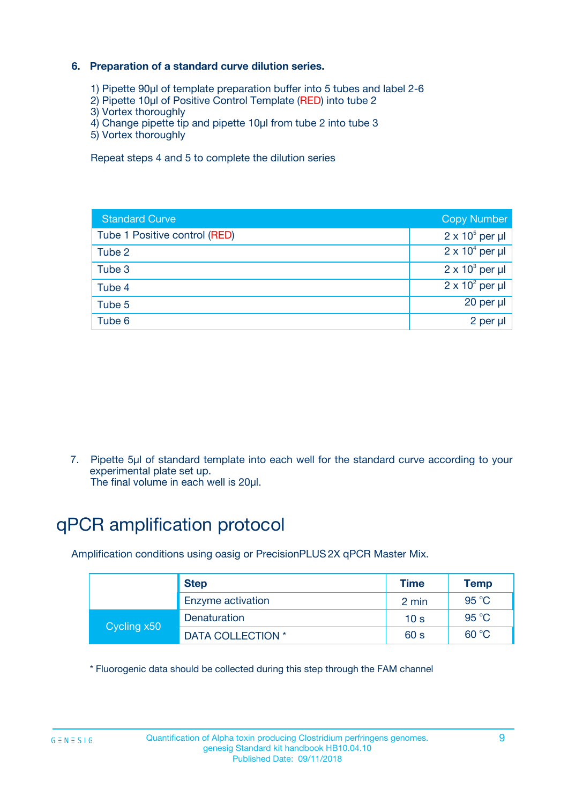### **6. Preparation of a standard curve dilution series.**

- 1) Pipette 90µl of template preparation buffer into 5 tubes and label 2-6
- 2) Pipette 10µl of Positive Control Template (RED) into tube 2
- 3) Vortex thoroughly
- 4) Change pipette tip and pipette 10µl from tube 2 into tube 3
- 5) Vortex thoroughly

Repeat steps 4 and 5 to complete the dilution series

| <b>Standard Curve</b>         | <b>Copy Number</b>     |
|-------------------------------|------------------------|
| Tube 1 Positive control (RED) | $2 \times 10^5$ per µl |
| Tube 2                        | $2 \times 10^4$ per µl |
| Tube 3                        | $2 \times 10^3$ per µl |
| Tube 4                        | $2 \times 10^2$ per µl |
| Tube 5                        | 20 per µl              |
| Tube 6                        | $2$ per $\mu$          |

7. Pipette 5µl of standard template into each well for the standard curve according to your experimental plate set up.

The final volume in each well is 20µl.

# qPCR amplification protocol

Amplification conditions using oasig or PrecisionPLUS2X qPCR Master Mix.

|             | <b>Step</b>       | <b>Time</b>     | Temp    |
|-------------|-------------------|-----------------|---------|
|             | Enzyme activation | 2 min           | 95 °C   |
| Cycling x50 | Denaturation      | 10 <sub>s</sub> | 95 $°C$ |
|             | DATA COLLECTION * | 60 s            | 60 °C   |

\* Fluorogenic data should be collected during this step through the FAM channel